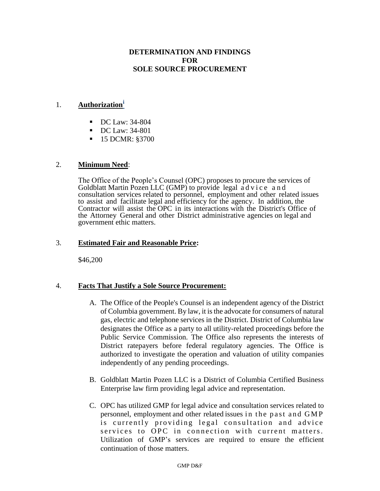## **DETERMINATION AND FINDINGS FOR SOLE SOURCE PROCUREMENT**

#### 1. **Authorization<sup>i</sup>**

- DC Law: 34-804
- DC Law: 34-801
- 15 DCMR: §3700

#### 2. **Minimum Need**:

The Office of the People's Counsel (OPC) proposes to procure the services of Goldblatt Martin Pozen LLC (GMP) to provide legal a d v i c e a n d consultation services related to personnel, employment and other related issues to assist and facilitate legal and efficiency for the agency. In addition, the Contractor will assist the OPC in its interactions with the District's Office of the Attorney General and other District administrative agencies on legal and government ethic matters.

#### 3. **Estimated Fair and Reasonable Price:**

\$46,200

#### 4. **Facts That Justify a Sole Source Procurement:**

- A. The Office of the People's Counsel is an independent agency of the District of Columbia government. By law, it is the advocate for consumers of natural gas, electric and telephone services in the District. District of Columbia law designates the Office as a party to all utility-related proceedings before the Public Service Commission. The Office also represents the interests of District ratepayers before federal regulatory agencies. The Office is authorized to investigate the operation and valuation of utility companies independently of any pending proceedings.
- B. Goldblatt Martin Pozen LLC is a District of Columbia Certified Business Enterprise law firm providing legal advice and representation.
- C. OPC has utilized GMP for legal advice and consultation services related to personnel, employment and other related issues in the past and GMP is currently providing legal consultation and advice services to OPC in connection with current matters. Utilization of GMP's services are required to ensure the efficient continuation of those matters.